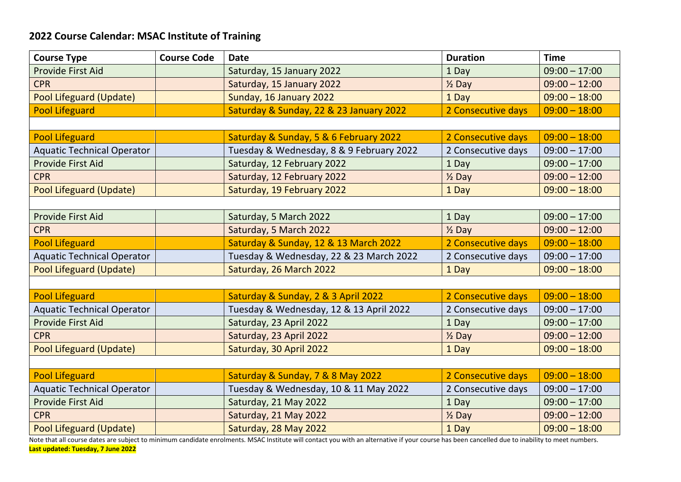## **2022 Course Calendar: MSAC Institute of Training**

| <b>Course Type</b>                | <b>Course Code</b> | <b>Date</b>                              | <b>Duration</b>    | <b>Time</b>     |
|-----------------------------------|--------------------|------------------------------------------|--------------------|-----------------|
| <b>Provide First Aid</b>          |                    | Saturday, 15 January 2022                | 1 Day              | $09:00 - 17:00$ |
| <b>CPR</b>                        |                    | Saturday, 15 January 2022                | $\frac{1}{2}$ Day  | $09:00 - 12:00$ |
| Pool Lifeguard (Update)           |                    | Sunday, 16 January 2022                  | 1 Day              | $09:00 - 18:00$ |
| <b>Pool Lifeguard</b>             |                    | Saturday & Sunday, 22 & 23 January 2022  | 2 Consecutive days | $09:00 - 18:00$ |
|                                   |                    |                                          |                    |                 |
| <b>Pool Lifeguard</b>             |                    | Saturday & Sunday, 5 & 6 February 2022   | 2 Consecutive days | $09:00 - 18:00$ |
| <b>Aquatic Technical Operator</b> |                    | Tuesday & Wednesday, 8 & 9 February 2022 | 2 Consecutive days | $09:00 - 17:00$ |
| <b>Provide First Aid</b>          |                    | Saturday, 12 February 2022               | 1 Day              | $09:00 - 17:00$ |
| <b>CPR</b>                        |                    | Saturday, 12 February 2022               | $\frac{1}{2}$ Day  | $09:00 - 12:00$ |
| Pool Lifeguard (Update)           |                    | Saturday, 19 February 2022               | 1 Day              | $09:00 - 18:00$ |
|                                   |                    |                                          |                    |                 |
| <b>Provide First Aid</b>          |                    | Saturday, 5 March 2022                   | 1 Day              | $09:00 - 17:00$ |
| <b>CPR</b>                        |                    | Saturday, 5 March 2022                   | $\frac{1}{2}$ Day  | $09:00 - 12:00$ |
| <b>Pool Lifeguard</b>             |                    | Saturday & Sunday, 12 & 13 March 2022    | 2 Consecutive days | $09:00 - 18:00$ |
| <b>Aquatic Technical Operator</b> |                    | Tuesday & Wednesday, 22 & 23 March 2022  | 2 Consecutive days | $09:00 - 17:00$ |
| Pool Lifeguard (Update)           |                    | Saturday, 26 March 2022                  | 1 Day              | $09:00 - 18:00$ |
|                                   |                    |                                          |                    |                 |
| <b>Pool Lifeguard</b>             |                    | Saturday & Sunday, 2 & 3 April 2022      | 2 Consecutive days | $09:00 - 18:00$ |
| <b>Aquatic Technical Operator</b> |                    | Tuesday & Wednesday, 12 & 13 April 2022  | 2 Consecutive days | $09:00 - 17:00$ |
| <b>Provide First Aid</b>          |                    | Saturday, 23 April 2022                  | 1 Day              | $09:00 - 17:00$ |
| <b>CPR</b>                        |                    | Saturday, 23 April 2022                  | $\frac{1}{2}$ Day  | $09:00 - 12:00$ |
| Pool Lifeguard (Update)           |                    | Saturday, 30 April 2022                  | 1 Day              | $09:00 - 18:00$ |
|                                   |                    |                                          |                    |                 |
| <b>Pool Lifeguard</b>             |                    | Saturday & Sunday, 7 & 8 May 2022        | 2 Consecutive days | $09:00 - 18:00$ |
| <b>Aquatic Technical Operator</b> |                    | Tuesday & Wednesday, 10 & 11 May 2022    | 2 Consecutive days | $09:00 - 17:00$ |
| <b>Provide First Aid</b>          |                    | Saturday, 21 May 2022                    | 1 Day              | $09:00 - 17:00$ |
| <b>CPR</b>                        |                    | Saturday, 21 May 2022                    | $\frac{1}{2}$ Day  | $09:00 - 12:00$ |
| Pool Lifeguard (Update)           |                    | Saturday, 28 May 2022                    | 1 Day              | $09:00 - 18:00$ |

Note that all course dates are subject to minimum candidate enrolments. MSAC Institute will contact you with an alternative if your course has been cancelled due to inability to meet numbers. **Last updated: Tuesday, 7 June 2022**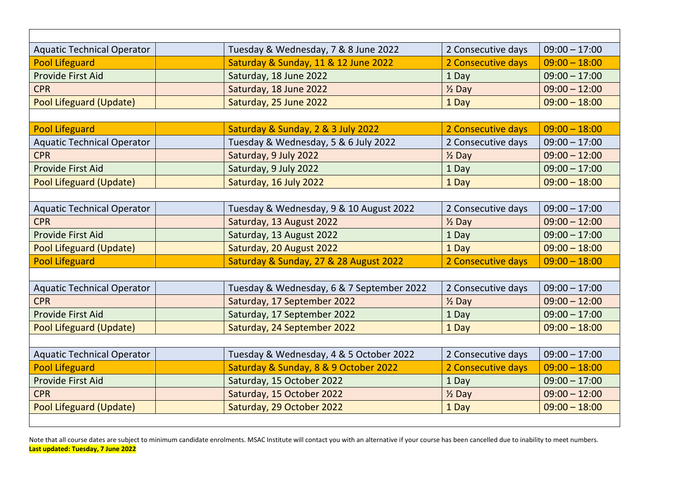| <b>Aquatic Technical Operator</b> | Tuesday & Wednesday, 7 & 8 June 2022      | 2 Consecutive days | $09:00 - 17:00$ |
|-----------------------------------|-------------------------------------------|--------------------|-----------------|
| <b>Pool Lifeguard</b>             | Saturday & Sunday, 11 & 12 June 2022      | 2 Consecutive days | $09:00 - 18:00$ |
| <b>Provide First Aid</b>          | Saturday, 18 June 2022                    | 1 Day              | $09:00 - 17:00$ |
| <b>CPR</b>                        | Saturday, 18 June 2022                    | $\frac{1}{2}$ Day  | $09:00 - 12:00$ |
| Pool Lifeguard (Update)           | Saturday, 25 June 2022                    | 1 Day              | $09:00 - 18:00$ |
|                                   |                                           |                    |                 |
| <b>Pool Lifeguard</b>             | Saturday & Sunday, 2 & 3 July 2022        | 2 Consecutive days | $09:00 - 18:00$ |
| <b>Aquatic Technical Operator</b> | Tuesday & Wednesday, 5 & 6 July 2022      | 2 Consecutive days | $09:00 - 17:00$ |
| <b>CPR</b>                        | Saturday, 9 July 2022                     | $\frac{1}{2}$ Day  | $09:00 - 12:00$ |
| <b>Provide First Aid</b>          | Saturday, 9 July 2022                     | 1 Day              | $09:00 - 17:00$ |
| Pool Lifeguard (Update)           | Saturday, 16 July 2022                    | 1 Day              | $09:00 - 18:00$ |
|                                   |                                           |                    |                 |
| <b>Aquatic Technical Operator</b> | Tuesday & Wednesday, 9 & 10 August 2022   | 2 Consecutive days | $09:00 - 17:00$ |
| <b>CPR</b>                        | Saturday, 13 August 2022                  | $\frac{1}{2}$ Day  | $09:00 - 12:00$ |
| <b>Provide First Aid</b>          | Saturday, 13 August 2022                  | 1 Day              | $09:00 - 17:00$ |
| Pool Lifeguard (Update)           | Saturday, 20 August 2022                  | 1 Day              | $09:00 - 18:00$ |
| <b>Pool Lifeguard</b>             | Saturday & Sunday, 27 & 28 August 2022    | 2 Consecutive days | $09:00 - 18:00$ |
|                                   |                                           |                    |                 |
| <b>Aquatic Technical Operator</b> | Tuesday & Wednesday, 6 & 7 September 2022 | 2 Consecutive days | $09:00 - 17:00$ |
| <b>CPR</b>                        | Saturday, 17 September 2022               | $\frac{1}{2}$ Day  | $09:00 - 12:00$ |
| <b>Provide First Aid</b>          | Saturday, 17 September 2022               | 1 Day              | $09:00 - 17:00$ |
| Pool Lifeguard (Update)           | Saturday, 24 September 2022               | 1 Day              | $09:00 - 18:00$ |
|                                   |                                           |                    |                 |
| <b>Aquatic Technical Operator</b> | Tuesday & Wednesday, 4 & 5 October 2022   | 2 Consecutive days | $09:00 - 17:00$ |
| <b>Pool Lifeguard</b>             | Saturday & Sunday, 8 & 9 October 2022     | 2 Consecutive days | $09:00 - 18:00$ |
| <b>Provide First Aid</b>          | Saturday, 15 October 2022                 | 1 Day              | $09:00 - 17:00$ |
| <b>CPR</b>                        | Saturday, 15 October 2022                 | $\frac{1}{2}$ Day  | $09:00 - 12:00$ |
| Pool Lifeguard (Update)           | Saturday, 29 October 2022                 | 1 Day              | $09:00 - 18:00$ |
|                                   |                                           |                    |                 |

Note that all course dates are subject to minimum candidate enrolments. MSAC Institute will contact you with an alternative if your course has been cancelled due to inability to meet numbers. **Last updated: Tuesday, 7 June 2022**